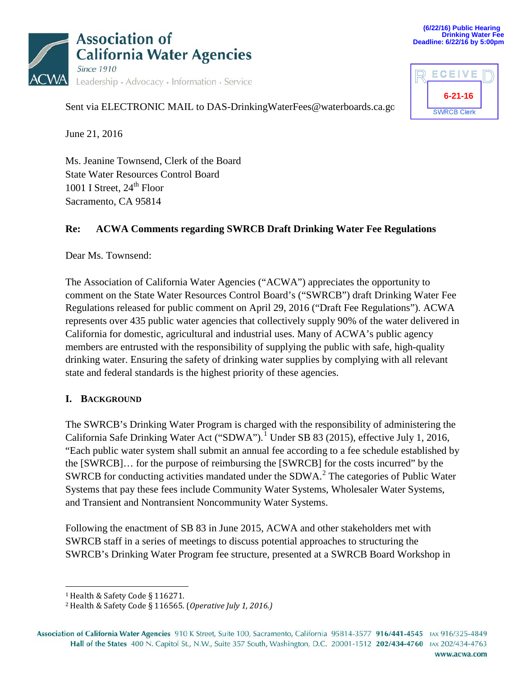



| ECEIVE        |  |
|---------------|--|
| $6 - 21 - 16$ |  |
|               |  |

Sent via ELECTRONIC MAIL to DAS-DrinkingWaterFees@waterboards.ca.go

June 21, 2016

Ms. Jeanine Townsend, Clerk of the Board State Water Resources Control Board 1001 I Street,  $24<sup>th</sup>$  Floor Sacramento, CA 95814

#### **Re: ACWA Comments regarding SWRCB Draft Drinking Water Fee Regulations**

Dear Ms. Townsend:

The Association of California Water Agencies ("ACWA") appreciates the opportunity to comment on the State Water Resources Control Board's ("SWRCB") draft Drinking Water Fee Regulations released for public comment on April 29, 2016 ("Draft Fee Regulations"). ACWA represents over 435 public water agencies that collectively supply 90% of the water delivered in California for domestic, agricultural and industrial uses. Many of ACWA's public agency members are entrusted with the responsibility of supplying the public with safe, high-quality drinking water. Ensuring the safety of drinking water supplies by complying with all relevant state and federal standards is the highest priority of these agencies.

#### **I. BACKGROUND**

The SWRCB's Drinking Water Program is charged with the responsibility of administering the California Safe Drinking Water Act ("SDWA").<sup>[1](#page-0-0)</sup> Under SB 83 (2015), effective July 1, 2016, "Each public water system shall submit an annual fee according to a fee schedule established by the [SWRCB]… for the purpose of reimbursing the [SWRCB] for the costs incurred" by the SWRCB for conducting activities mandated under the SDWA.<sup>[2](#page-0-1)</sup> The categories of Public Water Systems that pay these fees include Community Water Systems, Wholesaler Water Systems, and Transient and Nontransient Noncommunity Water Systems.

Following the enactment of SB 83 in June 2015, ACWA and other stakeholders met with SWRCB staff in a series of meetings to discuss potential approaches to structuring the SWRCB's Drinking Water Program fee structure, presented at a SWRCB Board Workshop in

 <sup>1</sup> Health & Safety Code § 116271.

<sup>2</sup> Health & Safety Code § 116565. (*Operative July 1, 2016.)*

<span id="page-0-1"></span><span id="page-0-0"></span>Association of California Water Agencies 910 K Street, Suite 100, Sacramento, California 95814-3577 916/441-4545 FAX 916/325-4849 Hall of the States 400 N. Capitol St., N.W., Suite 357 South, Washington, D.C. 20001-1512 202/434-4760 FAX 202/434-4763 www.acwa.com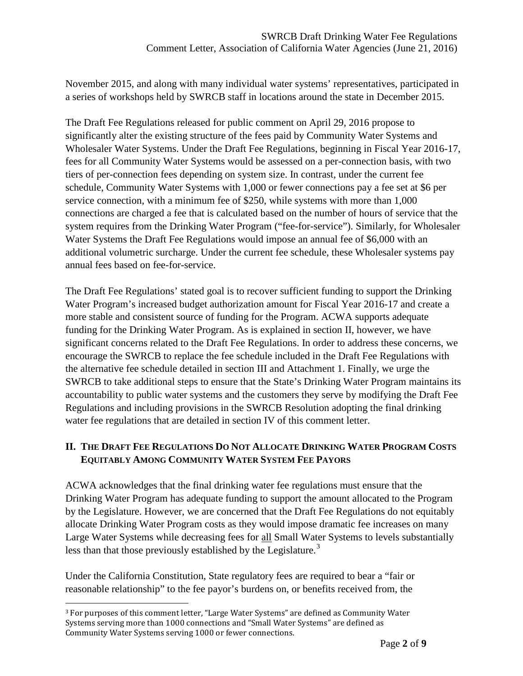November 2015, and along with many individual water systems' representatives, participated in a series of workshops held by SWRCB staff in locations around the state in December 2015.

The Draft Fee Regulations released for public comment on April 29, 2016 propose to significantly alter the existing structure of the fees paid by Community Water Systems and Wholesaler Water Systems. Under the Draft Fee Regulations, beginning in Fiscal Year 2016-17, fees for all Community Water Systems would be assessed on a per-connection basis, with two tiers of per-connection fees depending on system size. In contrast, under the current fee schedule, Community Water Systems with 1,000 or fewer connections pay a fee set at \$6 per service connection, with a minimum fee of \$250, while systems with more than 1,000 connections are charged a fee that is calculated based on the number of hours of service that the system requires from the Drinking Water Program ("fee-for-service"). Similarly, for Wholesaler Water Systems the Draft Fee Regulations would impose an annual fee of \$6,000 with an additional volumetric surcharge. Under the current fee schedule, these Wholesaler systems pay annual fees based on fee-for-service.

The Draft Fee Regulations' stated goal is to recover sufficient funding to support the Drinking Water Program's increased budget authorization amount for Fiscal Year 2016-17 and create a more stable and consistent source of funding for the Program. ACWA supports adequate funding for the Drinking Water Program. As is explained in section II, however, we have significant concerns related to the Draft Fee Regulations. In order to address these concerns, we encourage the SWRCB to replace the fee schedule included in the Draft Fee Regulations with the alternative fee schedule detailed in section III and Attachment 1. Finally, we urge the SWRCB to take additional steps to ensure that the State's Drinking Water Program maintains its accountability to public water systems and the customers they serve by modifying the Draft Fee Regulations and including provisions in the SWRCB Resolution adopting the final drinking water fee regulations that are detailed in section IV of this comment letter.

#### **II. THE DRAFT FEE REGULATIONS DO NOT ALLOCATE DRINKING WATER PROGRAM COSTS EQUITABLY AMONG COMMUNITY WATER SYSTEM FEE PAYORS**

ACWA acknowledges that the final drinking water fee regulations must ensure that the Drinking Water Program has adequate funding to support the amount allocated to the Program by the Legislature. However, we are concerned that the Draft Fee Regulations do not equitably allocate Drinking Water Program costs as they would impose dramatic fee increases on many Large Water Systems while decreasing fees for all Small Water Systems to levels substantially less than that those previously established by the Legislature.<sup>[3](#page-1-0)</sup>

Under the California Constitution, State regulatory fees are required to bear a "fair or reasonable relationship" to the fee payor's burdens on, or benefits received from, the

<span id="page-1-0"></span> <sup>3</sup> For purposes of this comment letter, "Large Water Systems" are defined as Community Water Systems serving more than 1000 connections and "Small Water Systems" are defined as Community Water Systems serving 1000 or fewer connections.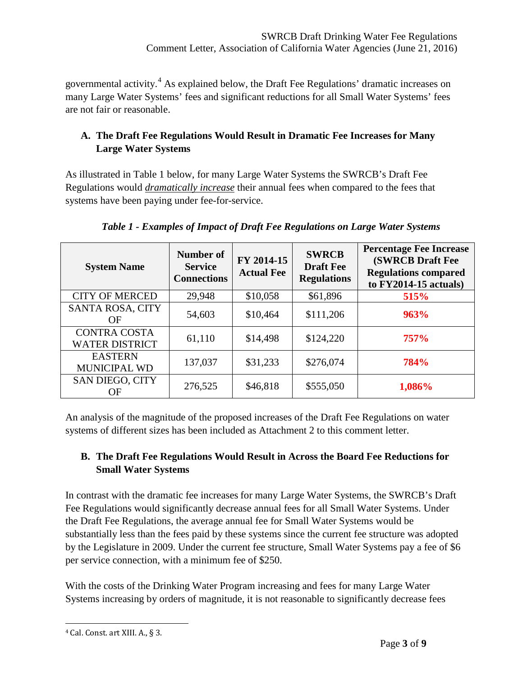governmental activity.[4](#page-2-0) As explained below, the Draft Fee Regulations' dramatic increases on many Large Water Systems' fees and significant reductions for all Small Water Systems' fees are not fair or reasonable.

## **A. The Draft Fee Regulations Would Result in Dramatic Fee Increases for Many Large Water Systems**

As illustrated in Table 1 below, for many Large Water Systems the SWRCB's Draft Fee Regulations would *dramatically increase* their annual fees when compared to the fees that systems have been paying under fee-for-service.

| <b>System Name</b>                           | Number of<br><b>Service</b><br><b>Connections</b> | FY 2014-15<br><b>Actual Fee</b> | <b>SWRCB</b><br><b>Draft Fee</b><br><b>Regulations</b> | <b>Percentage Fee Increase</b><br><b>(SWRCB Draft Fee</b><br><b>Regulations compared</b><br>to $FY2014-15$ actuals) |
|----------------------------------------------|---------------------------------------------------|---------------------------------|--------------------------------------------------------|---------------------------------------------------------------------------------------------------------------------|
| <b>CITY OF MERCED</b>                        | 29,948                                            | \$10,058                        | \$61,896                                               | 515%                                                                                                                |
| <b>SANTA ROSA, CITY</b><br><b>OF</b>         | 54,603                                            | \$10,464                        | \$111,206                                              | <b>963%</b>                                                                                                         |
| <b>CONTRA COSTA</b><br><b>WATER DISTRICT</b> | 61,110                                            | \$14,498                        | \$124,220                                              | <b>757%</b>                                                                                                         |
| <b>EASTERN</b><br>MUNICIPAL WD               | 137,037                                           | \$31,233                        | \$276,074                                              | 784%                                                                                                                |
| <b>SAN DIEGO, CITY</b><br>OF                 | 276,525                                           | \$46,818                        | \$555,050                                              | 1,086%                                                                                                              |

 *Table 1 - Examples of Impact of Draft Fee Regulations on Large Water Systems*

An analysis of the magnitude of the proposed increases of the Draft Fee Regulations on water systems of different sizes has been included as Attachment 2 to this comment letter.

# **B. The Draft Fee Regulations Would Result in Across the Board Fee Reductions for Small Water Systems**

In contrast with the dramatic fee increases for many Large Water Systems, the SWRCB's Draft Fee Regulations would significantly decrease annual fees for all Small Water Systems. Under the Draft Fee Regulations, the average annual fee for Small Water Systems would be substantially less than the fees paid by these systems since the current fee structure was adopted by the Legislature in 2009. Under the current fee structure, Small Water Systems pay a fee of \$6 per service connection, with a minimum fee of \$250.

With the costs of the Drinking Water Program increasing and fees for many Large Water Systems increasing by orders of magnitude, it is not reasonable to significantly decrease fees

<span id="page-2-0"></span> <sup>4</sup> Cal. Const. art XIII. A., § 3.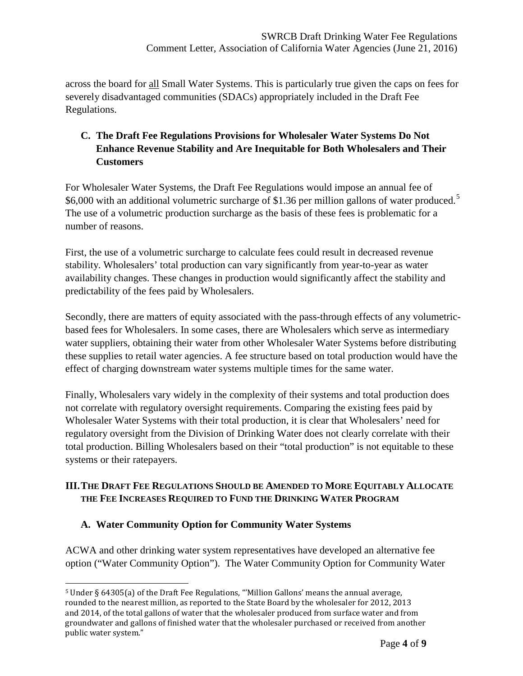across the board for all Small Water Systems. This is particularly true given the caps on fees for severely disadvantaged communities (SDACs) appropriately included in the Draft Fee Regulations.

# **C. The Draft Fee Regulations Provisions for Wholesaler Water Systems Do Not Enhance Revenue Stability and Are Inequitable for Both Wholesalers and Their Customers**

For Wholesaler Water Systems, the Draft Fee Regulations would impose an annual fee of \$6,000 with an additional volumetric surcharge of \$1.36 per million gallons of water produced.<sup>[5](#page-3-0)</sup> The use of a volumetric production surcharge as the basis of these fees is problematic for a number of reasons.

First, the use of a volumetric surcharge to calculate fees could result in decreased revenue stability. Wholesalers' total production can vary significantly from year-to-year as water availability changes. These changes in production would significantly affect the stability and predictability of the fees paid by Wholesalers.

Secondly, there are matters of equity associated with the pass-through effects of any volumetricbased fees for Wholesalers. In some cases, there are Wholesalers which serve as intermediary water suppliers, obtaining their water from other Wholesaler Water Systems before distributing these supplies to retail water agencies. A fee structure based on total production would have the effect of charging downstream water systems multiple times for the same water.

Finally, Wholesalers vary widely in the complexity of their systems and total production does not correlate with regulatory oversight requirements. Comparing the existing fees paid by Wholesaler Water Systems with their total production, it is clear that Wholesalers' need for regulatory oversight from the Division of Drinking Water does not clearly correlate with their total production. Billing Wholesalers based on their "total production" is not equitable to these systems or their ratepayers.

## **III.THE DRAFT FEE REGULATIONS SHOULD BE AMENDED TO MORE EQUITABLY ALLOCATE THE FEE INCREASES REQUIRED TO FUND THE DRINKING WATER PROGRAM**

#### **A. Water Community Option for Community Water Systems**

ACWA and other drinking water system representatives have developed an alternative fee option ("Water Community Option"). The Water Community Option for Community Water

<span id="page-3-0"></span> <sup>5</sup> Under § 64305(a) of the Draft Fee Regulations, "'Million Gallons' means the annual average, rounded to the nearest million, as reported to the State Board by the wholesaler for 2012, 2013 and 2014, of the total gallons of water that the wholesaler produced from surface water and from groundwater and gallons of finished water that the wholesaler purchased or received from another public water system."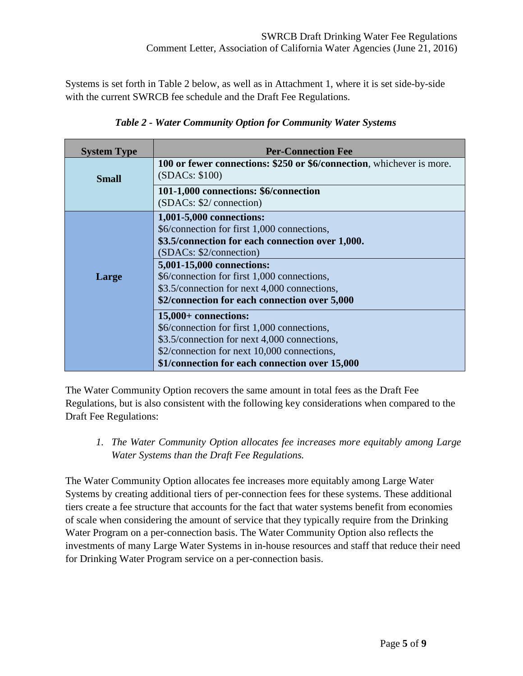Systems is set forth in Table 2 below, as well as in Attachment 1, where it is set side-by-side with the current SWRCB fee schedule and the Draft Fee Regulations.

| <b>System Type</b> | <b>Per-Connection Fee</b>                                                                                                                                                                                                                                                                                                           |
|--------------------|-------------------------------------------------------------------------------------------------------------------------------------------------------------------------------------------------------------------------------------------------------------------------------------------------------------------------------------|
| <b>Small</b>       | 100 or fewer connections: \$250 or \$6/connection, whichever is more.<br>(SDACs: \$100)                                                                                                                                                                                                                                             |
|                    | 101-1,000 connections: \$6/connection<br>(SDACs: \$2/ connection)                                                                                                                                                                                                                                                                   |
| Large              | 1,001-5,000 connections:<br>\$6/connection for first 1,000 connections,<br>\$3.5/connection for each connection over 1,000.<br>(SDACs: \$2/connection)<br>5,001-15,000 connections:<br>\$6/connection for first 1,000 connections,<br>\$3.5/connection for next 4,000 connections,<br>\$2/connection for each connection over 5,000 |
|                    | $15,000+$ connections:<br>\$6/connection for first 1,000 connections,<br>\$3.5/connection for next 4,000 connections,<br>\$2/connection for next 10,000 connections,<br>\$1/connection for each connection over 15,000                                                                                                              |

*Table 2 - Water Community Option for Community Water Systems*

The Water Community Option recovers the same amount in total fees as the Draft Fee Regulations, but is also consistent with the following key considerations when compared to the Draft Fee Regulations:

*1. The Water Community Option allocates fee increases more equitably among Large Water Systems than the Draft Fee Regulations.*

The Water Community Option allocates fee increases more equitably among Large Water Systems by creating additional tiers of per-connection fees for these systems. These additional tiers create a fee structure that accounts for the fact that water systems benefit from economies of scale when considering the amount of service that they typically require from the Drinking Water Program on a per-connection basis. The Water Community Option also reflects the investments of many Large Water Systems in in-house resources and staff that reduce their need for Drinking Water Program service on a per-connection basis.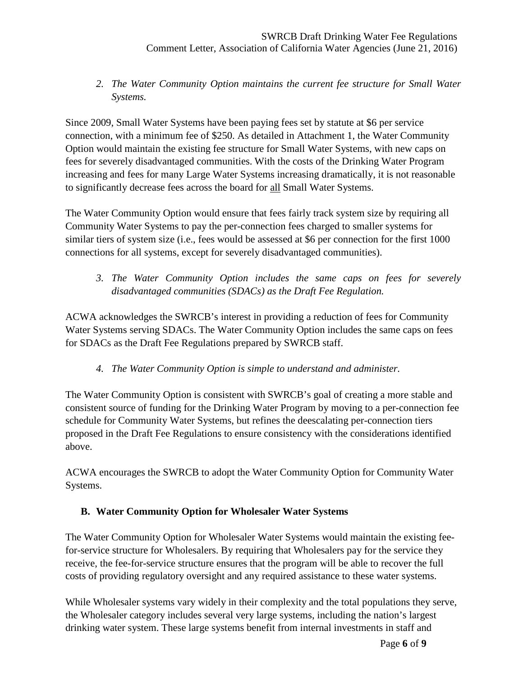*2. The Water Community Option maintains the current fee structure for Small Water Systems.*

Since 2009, Small Water Systems have been paying fees set by statute at \$6 per service connection, with a minimum fee of \$250. As detailed in Attachment 1, the Water Community Option would maintain the existing fee structure for Small Water Systems, with new caps on fees for severely disadvantaged communities. With the costs of the Drinking Water Program increasing and fees for many Large Water Systems increasing dramatically, it is not reasonable to significantly decrease fees across the board for all Small Water Systems.

The Water Community Option would ensure that fees fairly track system size by requiring all Community Water Systems to pay the per-connection fees charged to smaller systems for similar tiers of system size (i.e., fees would be assessed at \$6 per connection for the first 1000 connections for all systems, except for severely disadvantaged communities).

*3. The Water Community Option includes the same caps on fees for severely disadvantaged communities (SDACs) as the Draft Fee Regulation.*

ACWA acknowledges the SWRCB's interest in providing a reduction of fees for Community Water Systems serving SDACs. The Water Community Option includes the same caps on fees for SDACs as the Draft Fee Regulations prepared by SWRCB staff.

*4. The Water Community Option is simple to understand and administer.* 

The Water Community Option is consistent with SWRCB's goal of creating a more stable and consistent source of funding for the Drinking Water Program by moving to a per-connection fee schedule for Community Water Systems, but refines the deescalating per-connection tiers proposed in the Draft Fee Regulations to ensure consistency with the considerations identified above.

ACWA encourages the SWRCB to adopt the Water Community Option for Community Water Systems.

#### **B. Water Community Option for Wholesaler Water Systems**

The Water Community Option for Wholesaler Water Systems would maintain the existing feefor-service structure for Wholesalers. By requiring that Wholesalers pay for the service they receive, the fee-for-service structure ensures that the program will be able to recover the full costs of providing regulatory oversight and any required assistance to these water systems.

While Wholesaler systems vary widely in their complexity and the total populations they serve, the Wholesaler category includes several very large systems, including the nation's largest drinking water system. These large systems benefit from internal investments in staff and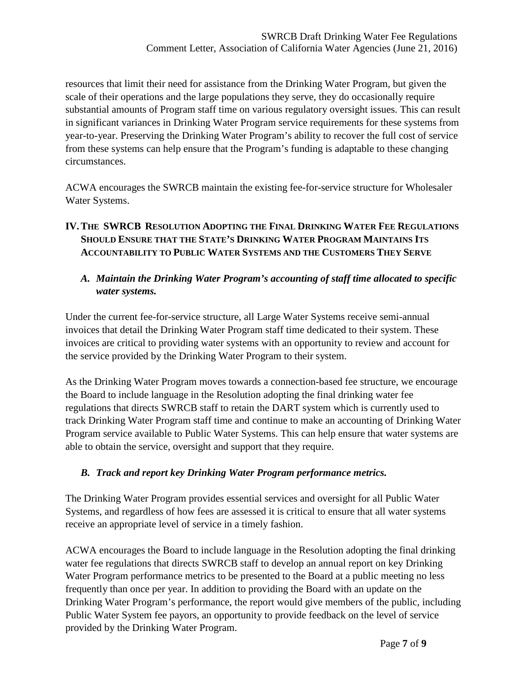resources that limit their need for assistance from the Drinking Water Program, but given the scale of their operations and the large populations they serve, they do occasionally require substantial amounts of Program staff time on various regulatory oversight issues. This can result in significant variances in Drinking Water Program service requirements for these systems from year-to-year. Preserving the Drinking Water Program's ability to recover the full cost of service from these systems can help ensure that the Program's funding is adaptable to these changing circumstances.

ACWA encourages the SWRCB maintain the existing fee-for-service structure for Wholesaler Water Systems.

## **IV.THE SWRCB RESOLUTION ADOPTING THE FINAL DRINKING WATER FEE REGULATIONS SHOULD ENSURE THAT THE STATE'S DRINKING WATER PROGRAM MAINTAINS ITS ACCOUNTABILITY TO PUBLIC WATER SYSTEMS AND THE CUSTOMERS THEY SERVE**

#### *A. Maintain the Drinking Water Program's accounting of staff time allocated to specific water systems.*

Under the current fee-for-service structure, all Large Water Systems receive semi-annual invoices that detail the Drinking Water Program staff time dedicated to their system. These invoices are critical to providing water systems with an opportunity to review and account for the service provided by the Drinking Water Program to their system.

As the Drinking Water Program moves towards a connection-based fee structure, we encourage the Board to include language in the Resolution adopting the final drinking water fee regulations that directs SWRCB staff to retain the DART system which is currently used to track Drinking Water Program staff time and continue to make an accounting of Drinking Water Program service available to Public Water Systems. This can help ensure that water systems are able to obtain the service, oversight and support that they require.

#### *B. Track and report key Drinking Water Program performance metrics.*

The Drinking Water Program provides essential services and oversight for all Public Water Systems, and regardless of how fees are assessed it is critical to ensure that all water systems receive an appropriate level of service in a timely fashion.

ACWA encourages the Board to include language in the Resolution adopting the final drinking water fee regulations that directs SWRCB staff to develop an annual report on key Drinking Water Program performance metrics to be presented to the Board at a public meeting no less frequently than once per year. In addition to providing the Board with an update on the Drinking Water Program's performance, the report would give members of the public, including Public Water System fee payors, an opportunity to provide feedback on the level of service provided by the Drinking Water Program.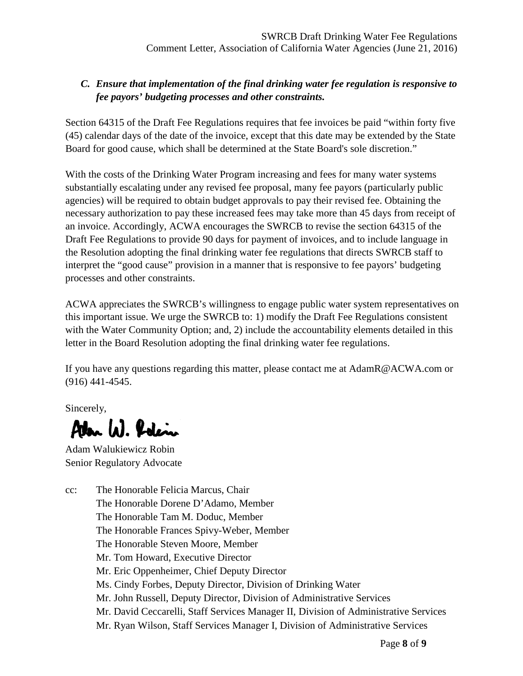## *C. Ensure that implementation of the final drinking water fee regulation is responsive to fee payors' budgeting processes and other constraints.*

Section 64315 of the Draft Fee Regulations requires that fee invoices be paid "within forty five (45) calendar days of the date of the invoice, except that this date may be extended by the State Board for good cause, which shall be determined at the State Board's sole discretion."

With the costs of the Drinking Water Program increasing and fees for many water systems substantially escalating under any revised fee proposal, many fee payors (particularly public agencies) will be required to obtain budget approvals to pay their revised fee. Obtaining the necessary authorization to pay these increased fees may take more than 45 days from receipt of an invoice. Accordingly, ACWA encourages the SWRCB to revise the section 64315 of the Draft Fee Regulations to provide 90 days for payment of invoices, and to include language in the Resolution adopting the final drinking water fee regulations that directs SWRCB staff to interpret the "good cause" provision in a manner that is responsive to fee payors' budgeting processes and other constraints.

ACWA appreciates the SWRCB's willingness to engage public water system representatives on this important issue. We urge the SWRCB to: 1) modify the Draft Fee Regulations consistent with the Water Community Option; and, 2) include the accountability elements detailed in this letter in the Board Resolution adopting the final drinking water fee regulations.

If you have any questions regarding this matter, please contact me at AdamR@ACWA.com or (916) 441-4545.

Sincerely,

Alan W. Polin

Adam Walukiewicz Robin Senior Regulatory Advocate

cc: The Honorable Felicia Marcus, Chair The Honorable Dorene D'Adamo, Member The Honorable Tam M. Doduc, Member The Honorable Frances Spivy-Weber, Member The Honorable Steven Moore, Member Mr. Tom Howard, Executive Director Mr. Eric Oppenheimer, Chief Deputy Director Ms. Cindy Forbes, Deputy Director, Division of Drinking Water Mr. John Russell, Deputy Director, Division of Administrative Services Mr. David Ceccarelli, Staff Services Manager II, Division of Administrative Services Mr. Ryan Wilson, Staff Services Manager I, Division of Administrative Services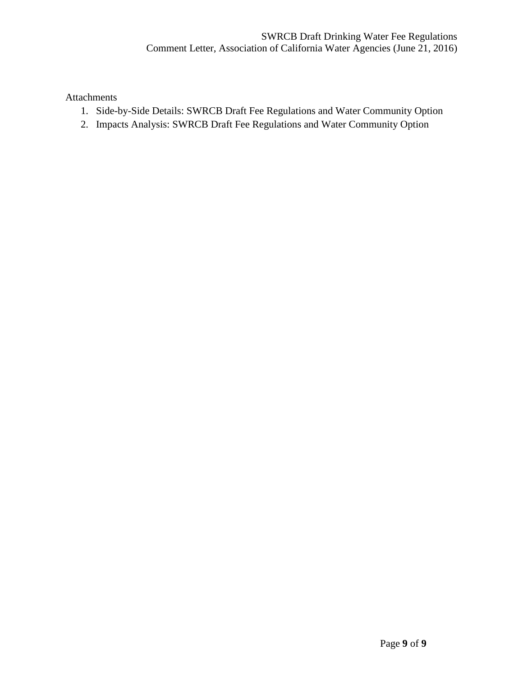Attachments

- 1. Side-by-Side Details: SWRCB Draft Fee Regulations and Water Community Option
- 2. Impacts Analysis: SWRCB Draft Fee Regulations and Water Community Option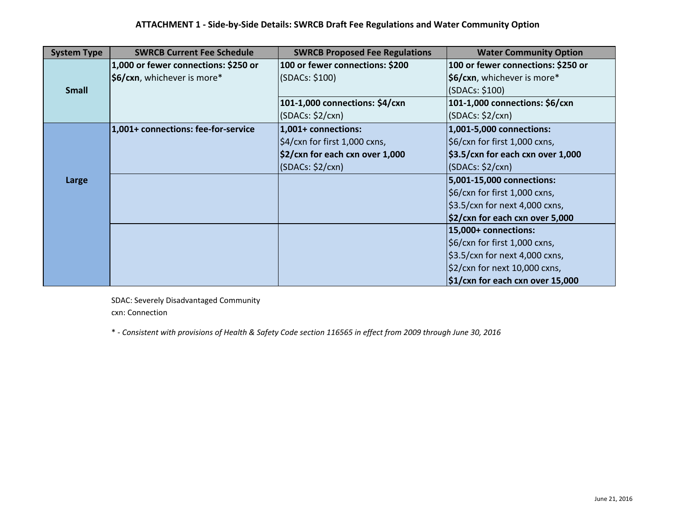| <b>System Type</b> | <b>SWRCB Current Fee Schedule</b>    | <b>SWRCB Proposed Fee Regulations</b>       | <b>Water Community Option</b>                            |
|--------------------|--------------------------------------|---------------------------------------------|----------------------------------------------------------|
|                    | 1,000 or fewer connections: \$250 or | 100 or fewer connections: \$200             | 100 or fewer connections: \$250 or                       |
|                    | \$6/cxn, whichever is more*          | (SDACs: \$100)                              | \$6/cxn, whichever is more*                              |
| <b>Small</b>       |                                      |                                             | (SDACs: \$100)                                           |
|                    |                                      | 101-1,000 connections: \$4/cxn              | 101-1,000 connections: \$6/cxn                           |
|                    |                                      | (SDACs: \$2/cxn)                            | (SDACS: \$2/cxn)                                         |
|                    | 1,001+ connections: fee-for-service  | 1,001+ connections:                         | 1,001-5,000 connections:                                 |
|                    |                                      | $\frac{1}{2}$ \$4/cxn for first 1,000 cxns, | \$6/cxn for first 1,000 cxns,                            |
|                    |                                      | $\frac{2}{2}$ /cxn for each cxn over 1,000  | $$3.5/cxn$ for each cxn over 1,000                       |
|                    |                                      | (SDACS: \$2/cxn)                            | (SDACS: \$2/cxn)                                         |
| Large              |                                      |                                             | 5,001-15,000 connections:                                |
|                    |                                      |                                             | \$6/cxn for first 1,000 cxns,                            |
|                    |                                      |                                             | \$3.5/cxn for next 4,000 cxns,                           |
|                    |                                      |                                             | \$2/cxn for each cxn over 5,000                          |
|                    |                                      |                                             | 15,000+ connections:                                     |
|                    |                                      |                                             | \$6/cxn for first 1,000 cxns,                            |
|                    |                                      |                                             | $\frac{1}{2}$ \$3.5/cxn for next 4,000 cxns,             |
|                    |                                      |                                             | \$2/cxn for next 10,000 cxns,                            |
|                    |                                      |                                             | $\frac{1}{2}$ $\frac{1}{2}$ (xn for each cxn over 15,000 |

SDAC: Severely Disadvantaged Community cxn: Connection

° - Consistent with provisions of Health & Safety Code section 116565 in effect from 2009 through June 30, 2016